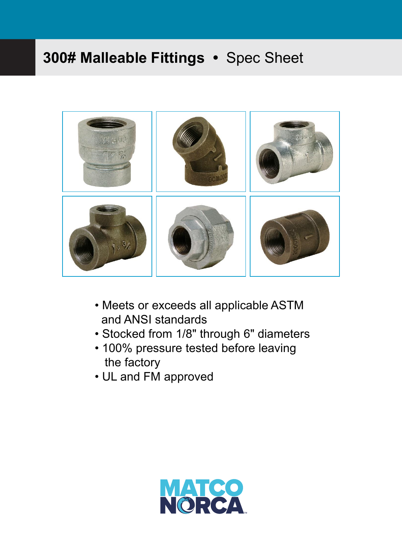

- Meets or exceeds all applicable ASTM and ANSI standards
- Stocked from 1/8" through 6" diameters
- 100% pressure tested before leaving the factory
- UL and FM approved

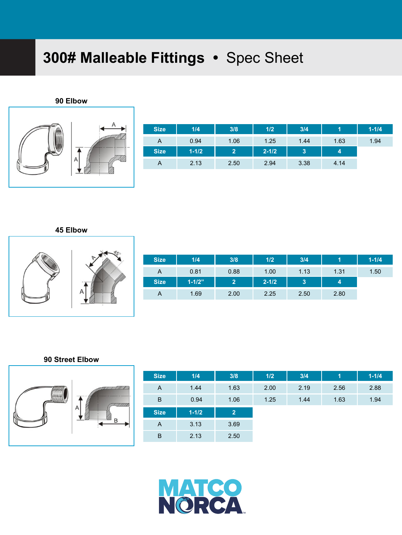**90 Elbow**



| <b>Size</b> | 1/4       | 3/8            | 1/2       | 3/4  |      | $1 - 1/4$ |
|-------------|-----------|----------------|-----------|------|------|-----------|
| A           | 0.94      | 1.06           | 1.25      | 1.44 | 1.63 | 1.94      |
| <b>Size</b> | $1 - 1/2$ | $\overline{2}$ | $2 - 1/2$ | 3    | 4    |           |
| A           | 2.13      | 2.50           | 2.94      | 3.38 | 4.14 |           |

**45 Elbow** 



| <b>Size</b> | 1/4        | 3/8                   | 1/2       | 3/4  |      | $1 - 1/4$ |
|-------------|------------|-----------------------|-----------|------|------|-----------|
| A           | 0.81       | 0.88                  | 1.00      | 1.13 | 1.31 | 1.50      |
| <b>Size</b> | $1 - 1/2"$ | $\mathbf{2}^{\prime}$ | $2 - 1/2$ | 13,  | 4    |           |
| A           | 1.69       | 2.00                  | 2.25      | 2.50 | 2.80 |           |

#### **90 Street Elbow**



| <b>Size</b>    | 1/4       | 3/8            | 1/2  | 3/4  | 1    | $1 - 1/4$ |
|----------------|-----------|----------------|------|------|------|-----------|
| $\overline{A}$ | 1.44      | 1.63           | 2.00 | 2.19 | 2.56 | 2.88      |
| B              | 0.94      | 1.06           | 1.25 | 1.44 | 1.63 | 1.94      |
| <b>Size</b>    | $1 - 1/2$ | $\overline{2}$ |      |      |      |           |
| A              | 3.13      | 3.69           |      |      |      |           |
| B              | 2.13      | 2.50           |      |      |      |           |

**MATCO**<br>N©RCA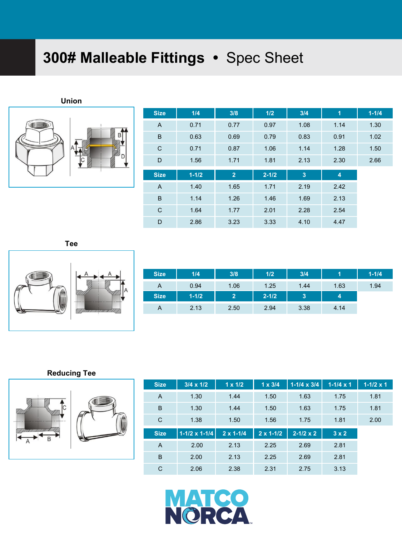**Union**



| <b>Size</b>  | 1/4       | 3/8            | 1/2       | 3/4  | 1              | $1 - 1/4$ |
|--------------|-----------|----------------|-----------|------|----------------|-----------|
| A            | 0.71      | 0.77           | 0.97      | 1.08 | 1.14           | 1.30      |
| B            | 0.63      | 0.69           | 0.79      | 0.83 | 0.91           | 1.02      |
| C            | 0.71      | 0.87           | 1.06      | 1.14 | 1.28           | 1.50      |
| D            | 1.56      | 1.71           | 1.81      | 2.13 | 2.30           | 2.66      |
|              |           |                |           |      |                |           |
| <b>Size</b>  | $1 - 1/2$ | $\overline{2}$ | $2 - 1/2$ | 3    | $\overline{4}$ |           |
| A            | 1.40      | 1.65           | 1.71      | 2.19 | 2.42           |           |
| B            | 1.14      | 1.26           | 1.46      | 1.69 | 2.13           |           |
| $\mathsf{C}$ | 1.64      | 1.77           | 2.01      | 2.28 | 2.54           |           |

**Tee**



| <b>Size</b> | 1/4       | 3/8            | 1/2       | 3/4          |      | $1 - 1/4$ |
|-------------|-----------|----------------|-----------|--------------|------|-----------|
| A           | 0.94      | 1.06           | 1.25      | 1.44         | 1.63 | 1.94      |
| <b>Size</b> | $1 - 1/2$ | $\overline{2}$ | $2 - 1/2$ | $\mathbf{3}$ | 4    |           |
| A           | 2.13      | 2.50           | 2.94      | 3.38         | 4.14 |           |

### **Reducing Tee**



| <b>Size</b> | $3/4 \times 1/2$     | $1 \times 1/2$     | $1 \times 3/4$     | $1-1/4 \times 3/4$ | $1 - 1/4 \times 1$ | $1 - 1/2 \times 1$ |
|-------------|----------------------|--------------------|--------------------|--------------------|--------------------|--------------------|
| A           | 1.30                 | 1.44               | 1.50               | 1.63               | 1.75               | 1.81               |
| B           | 1.30                 | 1.44               | 1.50               | 1.63               | 1.75               | 1.81               |
| C           | 1.38                 | 1.50               | 1.56               | 1.75               | 1.81               | 2.00               |
| <b>Size</b> | $1-1/2 \times 1-1/4$ | $2 \times 1 - 1/4$ | $2 \times 1 - 1/2$ | $2 - 1/2 \times 2$ | $3 \times 2$       |                    |
| A           |                      |                    |                    |                    |                    |                    |
|             | 2.00                 | 2.13               | 2.25               | 2.69               | 2.81               |                    |
| B           | 2.00                 | 2.13               | 2.25               | 2.69               | 2.81               |                    |